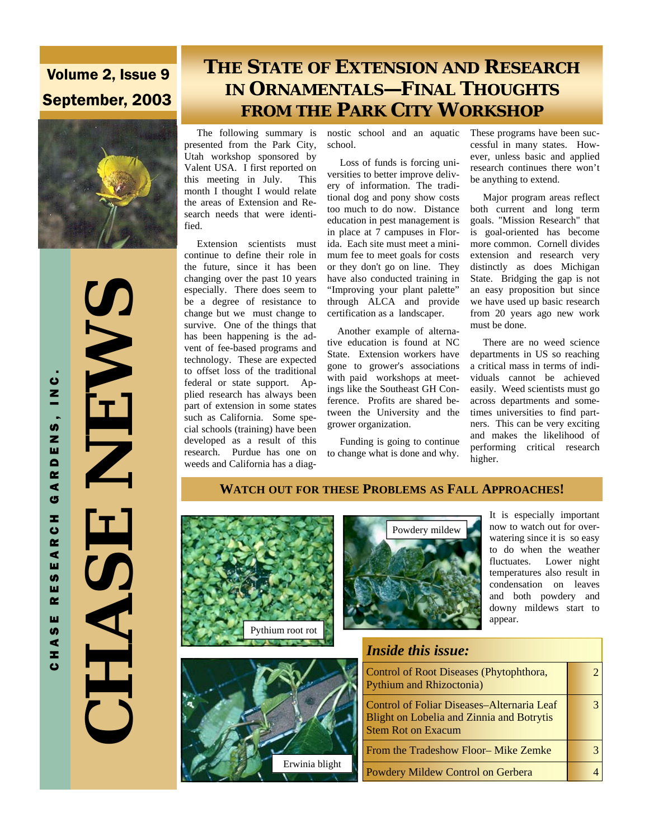# Volume 2, Issue 9 September, 2003



 **CHASE NEWS**  NE NA HASH

CHASE RESEARCH GARDENS, INC.

R C H

 $\bar{\bullet}$ ш U) ш  $\alpha$ ш  $\overline{9}$ Ξ <u>ت</u>

G

ARDENS, INC

# **THE STATE OF EXTENSION AND RESEARCH IN ORNAMENTALS—FINAL THOUGHTS FROM THE PARK CITY WORKSHOP**

 The following summary is nostic school and an aquatic presented from the Park City, Utah workshop sponsored by Valent USA. I first reported on this meeting in July. This month I thought I would relate the areas of Extension and Research needs that were identified.

 Extension scientists must continue to define their role in the future, since it has been changing over the past 10 years especially. There does seem to be a degree of resistance to change but we must change to survive. One of the things that has been happening is the advent of fee-based programs and technology. These are expected to offset loss of the traditional federal or state support. Applied research has always been part of extension in some states such as California. Some special schools (training) have been developed as a result of this research. Purdue has one on weeds and California has a diagschool.

 Loss of funds is forcing universities to better improve delivery of information. The traditional dog and pony show costs too much to do now. Distance education in pest management is in place at 7 campuses in Florida. Each site must meet a minimum fee to meet goals for costs or they don't go on line. They have also conducted training in "Improving your plant palette" through ALCA and provide certification as a landscaper.

 Another example of alternative education is found at NC State. Extension workers have gone to grower's associations with paid workshops at meetings like the Southeast GH Conference. Profits are shared between the University and the grower organization.

 Funding is going to continue to change what is done and why.

These programs have been successful in many states. However, unless basic and applied research continues there won't be anything to extend.

 Major program areas reflect both current and long term goals. "Mission Research" that is goal-oriented has become more common. Cornell divides extension and research very distinctly as does Michigan State. Bridging the gap is not an easy proposition but since we have used up basic research from 20 years ago new work must be done.

 There are no weed science departments in US so reaching a critical mass in terms of individuals cannot be achieved easily. Weed scientists must go across departments and sometimes universities to find partners. This can be very exciting and makes the likelihood of performing critical research higher.

#### **WATCH OUT FOR THESE PROBLEMS AS FALL APPROACHES!**







It is especially important now to watch out for overwatering since it is so easy to do when the weather fluctuates. Lower night temperatures also result in condensation on leaves and both powdery and downy mildews start to appear.

### *Inside this issue:*

| Control of Root Diseases (Phytophthora,<br><b>Pythium and Rhizoctonia</b> )                                                 |  |
|-----------------------------------------------------------------------------------------------------------------------------|--|
| Control of Foliar Diseases-Alternaria Leaf<br><b>Blight on Lobelia and Zinnia and Botrytis</b><br><b>Stem Rot on Exacum</b> |  |
| From the Tradeshow Floor-Mike Zemke                                                                                         |  |
| Powdery Mildew Control on Gerbera                                                                                           |  |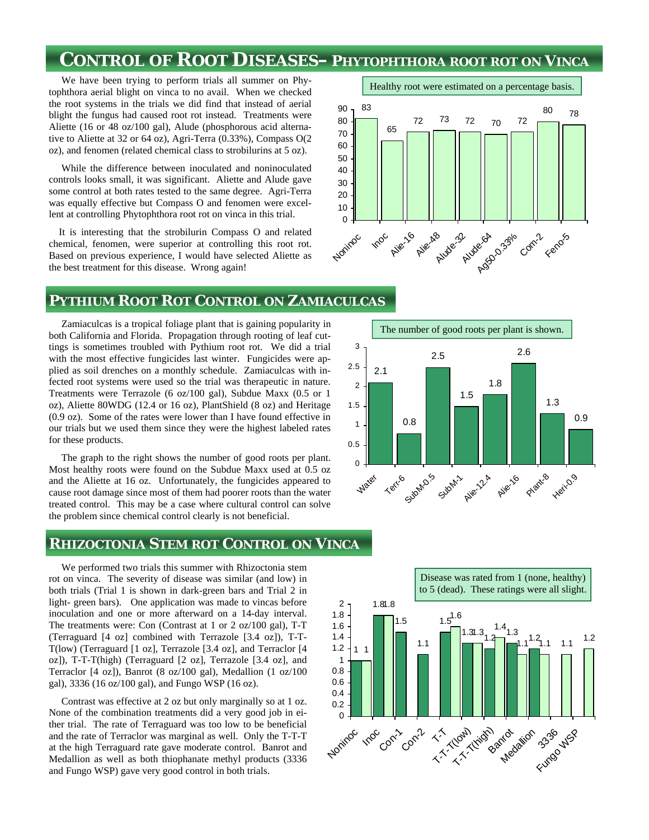## **CONTROL OF ROOT DISEASES–PHYTOPHTHORA ROOT ROT ON VINCA**

 We have been trying to perform trials all summer on Phytophthora aerial blight on vinca to no avail. When we checked the root systems in the trials we did find that instead of aerial blight the fungus had caused root rot instead. Treatments were Aliette (16 or 48 oz/100 gal), Alude (phosphorous acid alternative to Aliette at 32 or 64 oz), Agri-Terra (0.33%), Compass O(2 oz), and fenomen (related chemical class to strobilurins at 5 oz).

 While the difference between inoculated and noninoculated controls looks small, it was significant. Aliette and Alude gave some control at both rates tested to the same degree. Agri-Terra was equally effective but Compass O and fenomen were excellent at controlling Phytophthora root rot on vinca in this trial.

 It is interesting that the strobilurin Compass O and related chemical, fenomen, were superior at controlling this root rot. Based on previous experience, I would have selected Aliette as the best treatment for this disease. Wrong again!



#### **PYTHIUM ROOT ROT CONTROL ON ZAMIACULCAS**

 Zamiaculcas is a tropical foliage plant that is gaining popularity in both California and Florida. Propagation through rooting of leaf cuttings is sometimes troubled with Pythium root rot. We did a trial with the most effective fungicides last winter. Fungicides were applied as soil drenches on a monthly schedule. Zamiaculcas with infected root systems were used so the trial was therapeutic in nature. Treatments were Terrazole (6 oz/100 gal), Subdue Maxx (0.5 or 1 oz), Aliette 80WDG (12.4 or 16 oz), PlantShield (8 oz) and Heritage (0.9 oz). Some of the rates were lower than I have found effective in our trials but we used them since they were the highest labeled rates for these products.

 The graph to the right shows the number of good roots per plant. Most healthy roots were found on the Subdue Maxx used at 0.5 oz and the Aliette at 16 oz. Unfortunately, the fungicides appeared to cause root damage since most of them had poorer roots than the water treated control. This may be a case where cultural control can solve the problem since chemical control clearly is not beneficial.

#### **RHIZOCTONIA STEM ROT CONTROL ON VINCA**

 We performed two trials this summer with Rhizoctonia stem rot on vinca. The severity of disease was similar (and low) in both trials (Trial 1 is shown in dark-green bars and Trial 2 in light- green bars). One application was made to vincas before inoculation and one or more afterward on a 14-day interval. The treatments were: Con (Contrast at 1 or 2 oz/100 gal), T-T (Terraguard [4 oz] combined with Terrazole [3.4 oz]), T-T-T(low) (Terraguard [1 oz], Terrazole [3.4 oz], and Terraclor [4 oz]), T-T-T(high) (Terraguard [2 oz], Terrazole [3.4 oz], and Terraclor [4 oz]), Banrot (8 oz/100 gal), Medallion (1 oz/100 gal), 3336 (16 oz/100 gal), and Fungo WSP (16 oz).

 Contrast was effective at 2 oz but only marginally so at 1 oz. None of the combination treatments did a very good job in either trial. The rate of Terraguard was too low to be beneficial and the rate of Terraclor was marginal as well. Only the T-T-T at the high Terraguard rate gave moderate control. Banrot and Medallion as well as both thiophanate methyl products (3336 and Fungo WSP) gave very good control in both trials.





Healthy root were estimated on a percentage basis.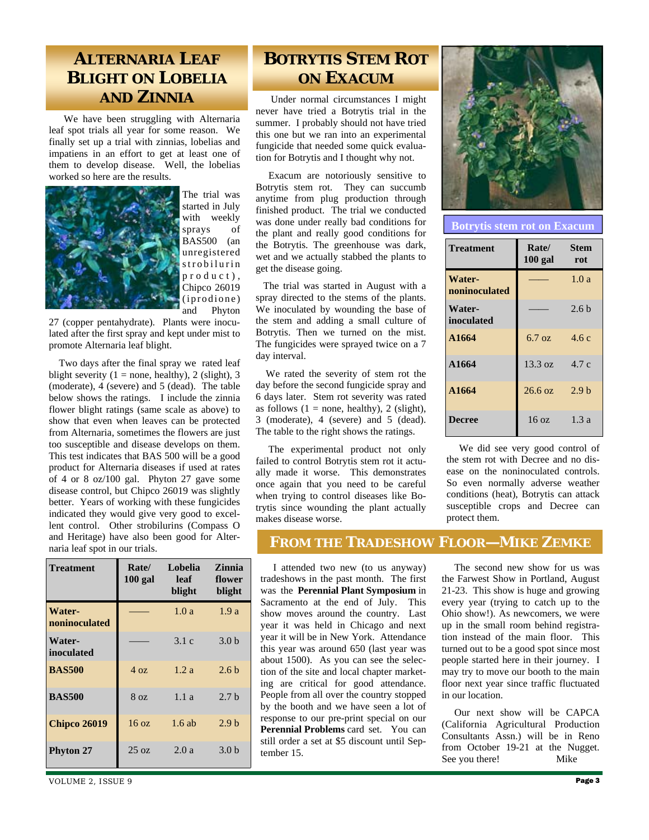### **ALTERNARIA LEAF BLIGHT ON LOBELIA AND ZINNIA**

 We have been struggling with Alternaria leaf spot trials all year for some reason. We finally set up a trial with zinnias, lobelias and impatiens in an effort to get at least one of them to develop disease. Well, the lobelias worked so here are the results.



The trial was started in July with weekly sprays of BAS500 (an unregistered strobilurin p r o d u c t ). Chipco 26019  $(i$  prodione) and Phyton

27 (copper pentahydrate). Plants were inoculated after the first spray and kept under mist to promote Alternaria leaf blight.

 Two days after the final spray we rated leaf blight severity (1 = none, healthy), 2 (slight), 3 (moderate), 4 (severe) and 5 (dead). The table below shows the ratings. I include the zinnia flower blight ratings (same scale as above) to show that even when leaves can be protected from Alternaria, sometimes the flowers are just too susceptible and disease develops on them. This test indicates that BAS 500 will be a good product for Alternaria diseases if used at rates of 4 or 8 oz/100 gal. Phyton 27 gave some disease control, but Chipco 26019 was slightly better. Years of working with these fungicides indicated they would give very good to excellent control. Other strobilurins (Compass O and Heritage) have also been good for Alternaria leaf spot in our trials.

| <b>Treatment</b>        | Rate/<br>$100$ gal | Lobelia<br>leaf<br>blight | Zinnia<br>flower<br>blight |
|-------------------------|--------------------|---------------------------|----------------------------|
| Water-<br>noninoculated |                    | 1.0a                      | 1.9a                       |
| Water-<br>inoculated    |                    | 3.1c                      | 3.0 <sub>b</sub>           |
| <b>BAS500</b>           | $4 \Omega$         | 1.2a                      | 2.6 <sub>b</sub>           |
| <b>BAS500</b>           | $8 \Omega$         | 1.1a                      | 2.7 <sub>b</sub>           |
| <b>Chipco 26019</b>     | $16 \text{ oz}$    | $1.6$ ab                  | 2.9 <sub>b</sub>           |
| <b>Phyton 27</b>        | $25 \text{ oz}$    | 2.0a                      | 3.0 <sub>b</sub>           |

## **BOTRYTIS STEM ROT ON EXACUM**

 Under normal circumstances I might never have tried a Botrytis trial in the summer. I probably should not have tried this one but we ran into an experimental fungicide that needed some quick evaluation for Botrytis and I thought why not.

 Exacum are notoriously sensitive to Botrytis stem rot. They can succumb anytime from plug production through finished product. The trial we conducted was done under really bad conditions for the plant and really good conditions for the Botrytis. The greenhouse was dark, wet and we actually stabbed the plants to get the disease going.

 The trial was started in August with a spray directed to the stems of the plants. We inoculated by wounding the base of the stem and adding a small culture of Botrytis. Then we turned on the mist. The fungicides were sprayed twice on a 7 day interval.

 We rated the severity of stem rot the day before the second fungicide spray and 6 days later. Stem rot severity was rated as follows  $(1 = none, healthy)$ , 2 (slight), 3 (moderate), 4 (severe) and 5 (dead). The table to the right shows the ratings.

 The experimental product not only failed to control Botrytis stem rot it actually made it worse. This demonstrates once again that you need to be careful when trying to control diseases like Botrytis since wounding the plant actually makes disease worse.



**Botrytis stem rot on Exacum** 

| <b>Treatment</b>        | Rate/<br>$100$ gal | <b>Stem</b><br>rot |
|-------------------------|--------------------|--------------------|
| Water-<br>noninoculated |                    | 1.0a               |
| Water-<br>inoculated    |                    | 2.6 <sub>b</sub>   |
| A1664                   | $6.7 \text{ oz}$   | 4.6c               |
| A1664                   | $13.3 \text{ oz}$  | 4.7c               |
| A1664                   | 26.6 oz            | 2.9 <sub>b</sub>   |
| Decree                  | 16oz               | 1.3a               |

 We did see very good control of the stem rot with Decree and no disease on the noninoculated controls. So even normally adverse weather conditions (heat), Botrytis can attack susceptible crops and Decree can protect them.

### **FROM THE TRADESHOW FLOOR—MIKE ZEMKE**

 I attended two new (to us anyway) tradeshows in the past month. The first was the **Perennial Plant Symposium** in Sacramento at the end of July. This show moves around the country. Last year it was held in Chicago and next year it will be in New York. Attendance this year was around 650 (last year was about 1500). As you can see the selection of the site and local chapter marketing are critical for good attendance. People from all over the country stopped by the booth and we have seen a lot of response to our pre-print special on our **Perennial Problems** card set. You can still order a set at \$5 discount until September 15.

 The second new show for us was the Farwest Show in Portland, August 21-23. This show is huge and growing every year (trying to catch up to the Ohio show!). As newcomers, we were up in the small room behind registration instead of the main floor. This turned out to be a good spot since most people started here in their journey. I may try to move our booth to the main floor next year since traffic fluctuated in our location.

 Our next show will be CAPCA (California Agricultural Production Consultants Assn.) will be in Reno from October 19-21 at the Nugget. See you there! Mike